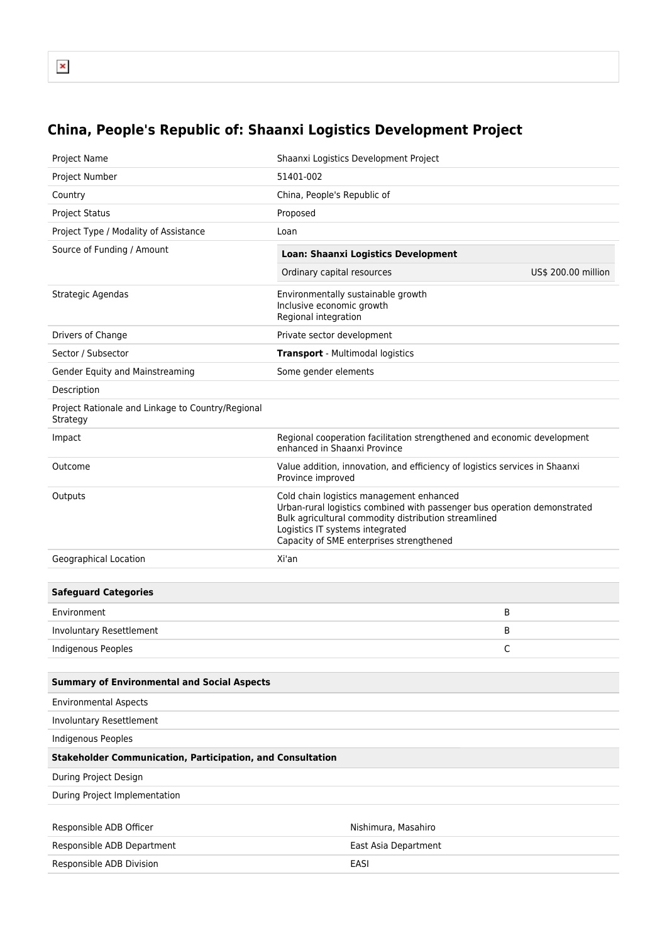## **China, People's Republic of: Shaanxi Logistics Development Project**

| Project Name                                                      | Shaanxi Logistics Development Project                                                                                                                                                                                                                       |                     |
|-------------------------------------------------------------------|-------------------------------------------------------------------------------------------------------------------------------------------------------------------------------------------------------------------------------------------------------------|---------------------|
| Project Number                                                    | 51401-002                                                                                                                                                                                                                                                   |                     |
| Country                                                           | China, People's Republic of                                                                                                                                                                                                                                 |                     |
| <b>Project Status</b>                                             | Proposed                                                                                                                                                                                                                                                    |                     |
| Project Type / Modality of Assistance                             | Loan                                                                                                                                                                                                                                                        |                     |
| Source of Funding / Amount                                        | <b>Loan: Shaanxi Logistics Development</b>                                                                                                                                                                                                                  |                     |
|                                                                   | Ordinary capital resources                                                                                                                                                                                                                                  | US\$ 200.00 million |
| Strategic Agendas                                                 | Environmentally sustainable growth<br>Inclusive economic growth<br>Regional integration                                                                                                                                                                     |                     |
| Drivers of Change                                                 | Private sector development                                                                                                                                                                                                                                  |                     |
| Sector / Subsector                                                | <b>Transport</b> - Multimodal logistics                                                                                                                                                                                                                     |                     |
| Gender Equity and Mainstreaming                                   | Some gender elements                                                                                                                                                                                                                                        |                     |
| Description                                                       |                                                                                                                                                                                                                                                             |                     |
| Project Rationale and Linkage to Country/Regional<br>Strategy     |                                                                                                                                                                                                                                                             |                     |
| Impact                                                            | Regional cooperation facilitation strengthened and economic development<br>enhanced in Shaanxi Province                                                                                                                                                     |                     |
| Outcome                                                           | Value addition, innovation, and efficiency of logistics services in Shaanxi<br>Province improved                                                                                                                                                            |                     |
| Outputs                                                           | Cold chain logistics management enhanced<br>Urban-rural logistics combined with passenger bus operation demonstrated<br>Bulk agricultural commodity distribution streamlined<br>Logistics IT systems integrated<br>Capacity of SME enterprises strengthened |                     |
| Geographical Location                                             | Xi'an                                                                                                                                                                                                                                                       |                     |
|                                                                   |                                                                                                                                                                                                                                                             |                     |
| <b>Safeguard Categories</b>                                       |                                                                                                                                                                                                                                                             |                     |
| Environment                                                       |                                                                                                                                                                                                                                                             | В                   |
| Involuntary Resettlement                                          |                                                                                                                                                                                                                                                             | В                   |
| <b>Indigenous Peoples</b>                                         |                                                                                                                                                                                                                                                             | C                   |
|                                                                   |                                                                                                                                                                                                                                                             |                     |
| <b>Summary of Environmental and Social Aspects</b>                |                                                                                                                                                                                                                                                             |                     |
| <b>Environmental Aspects</b>                                      |                                                                                                                                                                                                                                                             |                     |
| Involuntary Resettlement                                          |                                                                                                                                                                                                                                                             |                     |
| <b>Indigenous Peoples</b>                                         |                                                                                                                                                                                                                                                             |                     |
| <b>Stakeholder Communication, Participation, and Consultation</b> |                                                                                                                                                                                                                                                             |                     |
| During Project Design                                             |                                                                                                                                                                                                                                                             |                     |
| During Project Implementation                                     |                                                                                                                                                                                                                                                             |                     |
|                                                                   |                                                                                                                                                                                                                                                             |                     |
| Responsible ADB Officer                                           | Nishimura, Masahiro                                                                                                                                                                                                                                         |                     |
| Responsible ADB Department                                        | East Asia Department                                                                                                                                                                                                                                        |                     |
| Responsible ADB Division                                          | <b>EASI</b>                                                                                                                                                                                                                                                 |                     |